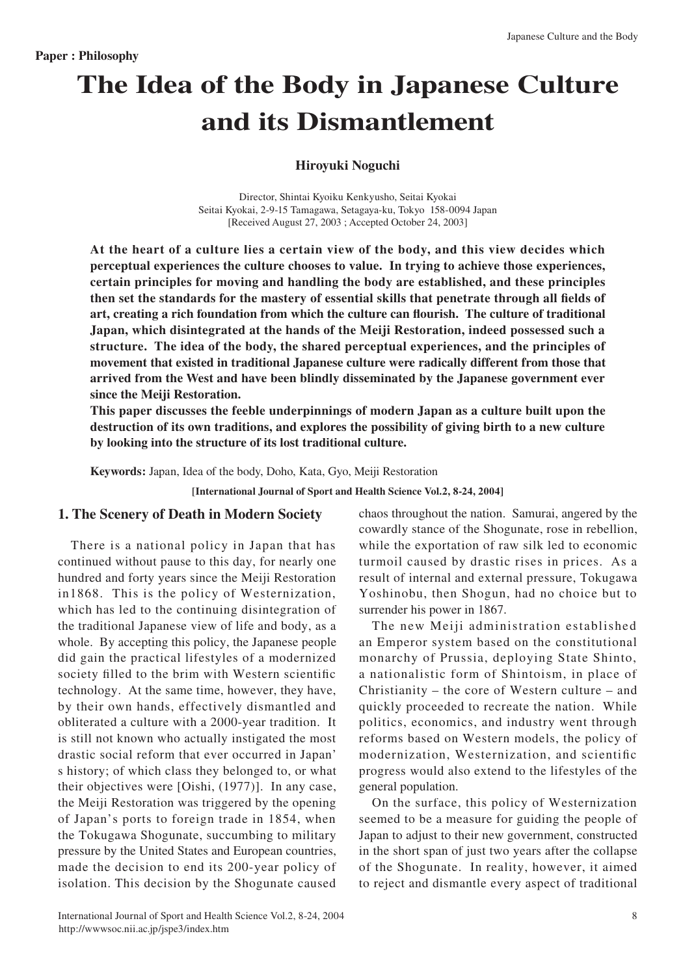# **The Idea of the Body in Japanese Culture and its Dismantlement**

## **Noguchi Hiroyuki**

Director, Shintai Kyoiku Kenkyusho, Seitai Kyokai Seitai Kyokai, 2-9-15 Tamagawa, Setagaya-ku, Tokyo 158-0094 Japan [Received August 27, 2003 ; Accepted October 24, 2003]

At the heart of a culture lies a certain view of the body, and this view decides which perceptual experiences the culture chooses to value. In trying to achieve those experiences,  **certain principles for moving and handling the body are established, and these principles** then set the standards for the mastery of essential skills that penetrate through all fields of art, creating a rich foundation from which the culture can flourish. The culture of traditional **Japan, which disintegrated at the hands of the Meiji Restoration, indeed possessed such a** structure. The idea of the body, the shared perceptual experiences, and the principles of movement that existed in traditional Japanese culture were radically different from those that arrived from the West and have been blindly disseminated by the Japanese government ever **since the Meiji Restoration.** 

This paper discusses the feeble underpinnings of modern Japan as a culture built upon the destruction of its own traditions, and explores the possibility of giving birth to a new culture by looking into the structure of its lost traditional culture.

Keywords: Japan, Idea of the body, Doho, Kata, Gyo, Meiji Restoration

[International Journal of Sport and Health Science Vol.2, 8-24, 2004]

## **1. The Scenery of Death in Modern Society**

There is a national policy in Japan that has continued without pause to this day, for nearly one hundred and forty years since the Meiji Restoration in 1868. This is the policy of Westernization, which has led to the continuing disintegration of the traditional Japanese view of life and body, as a whole. By accepting this policy, the Japanese people did gain the practical lifestyles of a modernized society filled to the brim with Western scientific technology. At the same time, however, they have, by their own hands, effectively dismantled and obliterated a culture with a 2000-year tradition. It is still not known who actually instigated the most drastic social reform that ever occurred in Japan' s history; of which class they belonged to, or what their objectives were [Oishi,  $(1977)$ ]. In any case, the Meiji Restoration was triggered by the opening of Japan's ports to foreign trade in 1854, when the Tokugawa Shogunate, succumbing to military pressure by the United States and European countries, made the decision to end its 200-year policy of isolation. This decision by the Shogunate caused. chaos throughout the nation. Samurai, angered by the cowardly stance of the Shogunate, rose in rebellion, while the exportation of raw silk led to economic turmoil caused by drastic rises in prices. As a result of internal and external pressure, Tokugawa Yoshinobu, then Shogun, had no choice but to surrender his power in 1867.

The new Meiji administration established an Emperor system based on the constitutional monarchy of Prussia, deploying State Shinto, a nationalistic form of Shintoism, in place of Christianity – the core of Western culture – and quickly proceeded to recreate the nation. While politics, economics, and industry went through reforms based on Western models, the policy of modernization. Westernization, and scientific progress would also extend to the lifestyles of the general population.

On the surface, this policy of Westernization seemed to be a measure for guiding the people of Japan to adjust to their new government, constructed in the short span of just two years after the collapse of the Shogunate. In reality, however, it aimed to reject and dismantle every aspect of traditional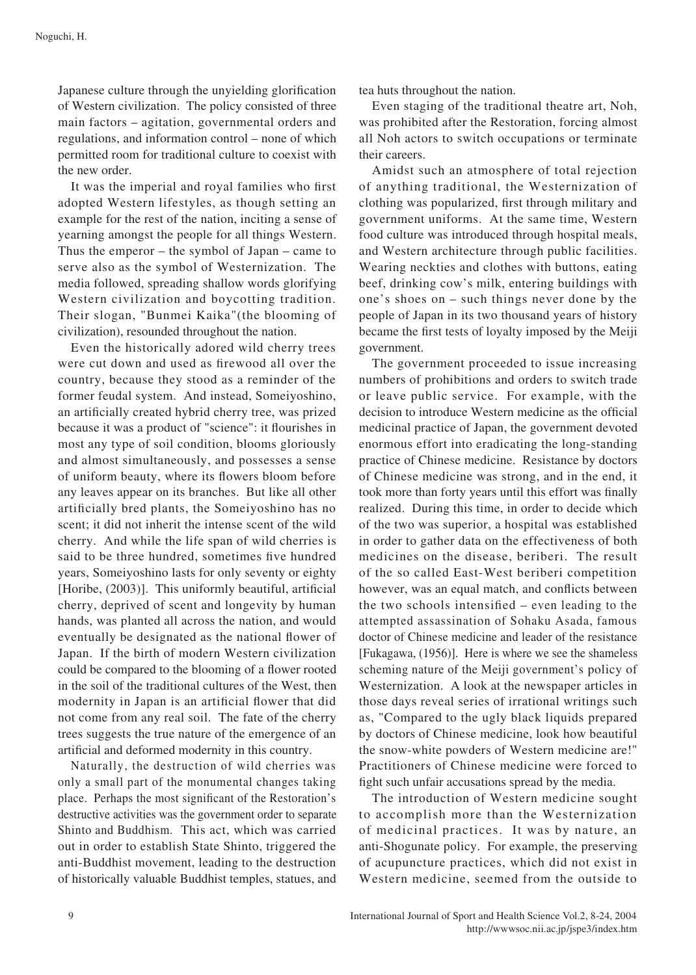Japanese culture through the unyielding glorification of Western civilization. The policy consisted of three main factors – agitation, governmental orders and regulations, and information control – none of which permitted room for traditional culture to coexist with the new order.

It was the imperial and royal families who first adopted Western lifestyles, as though setting an example for the rest of the nation, inciting a sense of yearning amongst the people for all things Western. Thus the emperor – the symbol of Japan – came to serve also as the symbol of Westernization. The media followed, spreading shallow words glorifying Western civilization and boycotting tradition. Their slogan, "Bunmei Kaika"(the blooming of civilization), resounded throughout the nation.

Even the historically adored wild cherry trees were cut down and used as firewood all over the country, because they stood as a reminder of the former feudal system. And instead, Someiyoshino, an artificially created hybrid cherry tree, was prized because it was a product of "science": it flourishes in most any type of soil condition, blooms gloriously and almost simultaneously, and possesses a sense of uniform beauty, where its flowers bloom before any leaves appear on its branches. But like all other artificially bred plants, the Someiyoshino has no scent; it did not inherit the intense scent of the wild cherry. And while the life span of wild cherries is said to be three hundred, sometimes five hundred years, Someiyoshino lasts for only seventy or eighty [Horibe, (2003)]. This uniformly beautiful, artificial cherry, deprived of scent and longevity by human hands, was planted all across the nation, and would eventually be designated as the national flower of Japan. If the birth of modern Western civilization could be compared to the blooming of a flower rooted in the soil of the traditional cultures of the West, then modernity in Japan is an artificial flower that did not come from any real soil. The fate of the cherry trees suggests the true nature of the emergence of an artificial and deformed modernity in this country.

Naturally, the destruction of wild cherries was only a small part of the monumental changes taking place. Perhaps the most significant of the Restoration's destructive activities was the government order to separate Shinto and Buddhism. This act, which was carried out in order to establish State Shinto, triggered the anti-Buddhist movement, leading to the destruction of historically valuable Buddhist temples, statues, and tea huts throughout the nation.

Even staging of the traditional theatre art, Noh, was prohibited after the Restoration, forcing almost all Noh actors to switch occupations or terminate their careers.

Amidst such an atmosphere of total rejection of anything traditional, the Westernization of clothing was popularized, first through military and government uniforms. At the same time, Western food culture was introduced through hospital meals, and Western architecture through public facilities. Wearing neckties and clothes with buttons, eating beef, drinking cow's milk, entering buildings with one's shoes on – such things never done by the people of Japan in its two thousand years of history became the first tests of loyalty imposed by the Meiji .government

The government proceeded to issue increasing numbers of prohibitions and orders to switch trade or leave public service. For example, with the decision to introduce Western medicine as the official medicinal practice of Japan, the government devoted enormous effort into eradicating the long-standing practice of Chinese medicine. Resistance by doctors of Chinese medicine was strong, and in the end, it took more than forty years until this effort was finally realized. During this time, in order to decide which of the two was superior, a hospital was established in order to gather data on the effectiveness of both medicines on the disease, beriberi. The result of the so called East-West beriberi competition however, was an equal match, and conflicts between the two schools intensified – even leading to the attempted assassination of Sohaku Asada, famous doctor of Chinese medicine and leader of the resistance [Fukagawa, (1956)]. Here is where we see the shameless scheming nature of the Meiji government's policy of Westernization. A look at the newspaper articles in those days reveal series of irrational writings such as, "Compared to the ugly black liquids prepared by doctors of Chinese medicine, look how beautiful the snow-white powders of Western medicine are!" Practitioners of Chinese medicine were forced to fight such unfair accusations spread by the media.

The introduction of Western medicine sought to accomplish more than the Westernization of medicinal practices. It was by nature, an anti-Shogunate policy. For example, the preserving of acupuncture practices, which did not exist in Western medicine, seemed from the outside to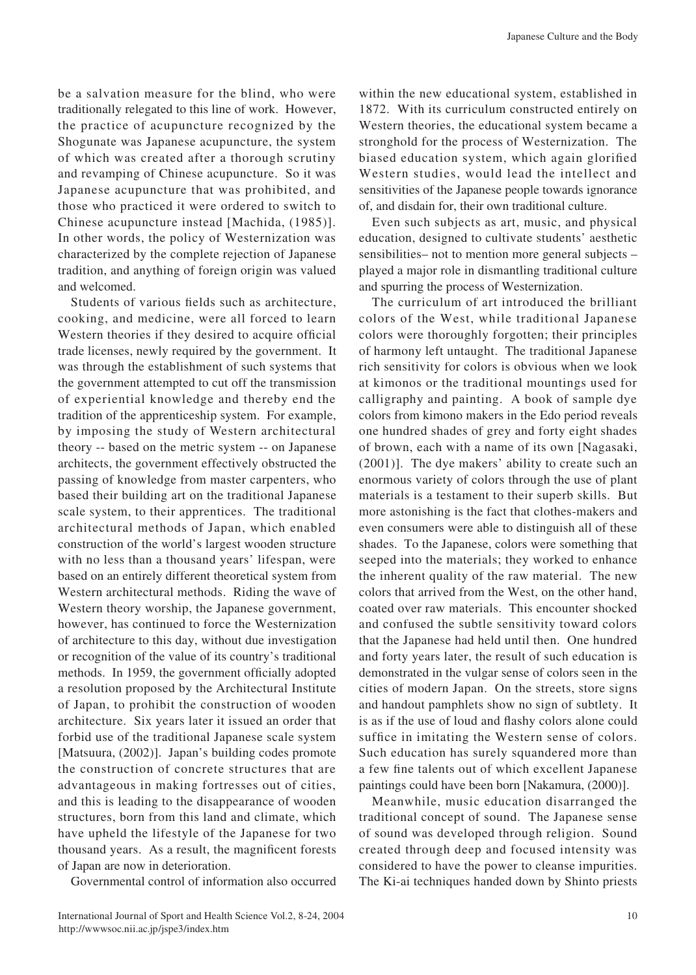be a salvation measure for the blind, who were traditionally relegated to this line of work. However, the practice of acupuncture recognized by the Shogunate was Japanese acupuncture, the system of which was created after a thorough scrutiny and revamping of Chinese acupuncture. So it was Japanese acupuncture that was prohibited, and those who practiced it were ordered to switch to Chinese acupuncture instead [Machida, (1985)]. In other words, the policy of Westernization was characterized by the complete rejection of Japanese tradition, and anything of foreign origin was valued and welcomed.

Students of various fields such as architecture, cooking, and medicine, were all forced to learn Western theories if they desired to acquire official trade licenses, newly required by the government. It was through the establishment of such systems that the government attempted to cut off the transmission of experiential knowledge and thereby end the tradition of the apprenticeship system. For example, by imposing the study of Western architectural theory -- based on the metric system -- on Japanese architects, the government effectively obstructed the passing of knowledge from master carpenters, who based their building art on the traditional Japanese scale system, to their apprentices. The traditional architectural methods of Japan, which enabled construction of the world's largest wooden structure with no less than a thousand years' lifespan, were based on an entirely different theoretical system from Western architectural methods. Riding the wave of Western theory worship, the Japanese government, however, has continued to force the Westernization of architecture to this day, without due investigation or recognition of the value of its country's traditional methods. In 1959, the government officially adopted a resolution proposed by the Architectural Institute of Japan, to prohibit the construction of wooden architecture. Six years later it issued an order that forbid use of the traditional Japanese scale system [Matsuura,  $(2002)$ ]. Japan's building codes promote the construction of concrete structures that are advantageous in making fortresses out of cities, and this is leading to the disappearance of wooden structures, born from this land and climate, which have upheld the lifestyle of the Japanese for two thousand years. As a result, the magnificent forests of Japan are now in deterioration.

Governmental control of information also occurred

within the new educational system, established in 1872. With its curriculum constructed entirely on Western theories, the educational system became a stronghold for the process of Westernization. The biased education system, which again glorified Western studies, would lead the intellect and sensitivities of the Japanese people towards ignorance of, and disdain for, their own traditional culture.

Even such subjects as art, music, and physical education, designed to cultivate students' aesthetic sensibilities- not to mention more general subjects – played a major role in dismantling traditional culture and spurring the process of Westernization.

The curriculum of art introduced the brilliant colors of the West, while traditional Japanese colors were thoroughly forgotten; their principles of harmony left untaught. The traditional Japanese rich sensitivity for colors is obvious when we look at kimonos or the traditional mountings used for calligraphy and painting. A book of sample dye colors from kimono makers in the Edo period reveals one hundred shades of grey and forty eight shades of brown, each with a name of its own [Nagasaki,  $(2001)$ ]. The dye makers' ability to create such an enormous variety of colors through the use of plant materials is a testament to their superb skills. But more astonishing is the fact that clothes-makers and even consumers were able to distinguish all of these shades. To the Japanese, colors were something that seeped into the materials; they worked to enhance the inherent quality of the raw material. The new colors that arrived from the West, on the other hand. coated over raw materials. This encounter shocked and confused the subtle sensitivity toward colors that the Japanese had held until then. One hundred and forty years later, the result of such education is demonstrated in the vulgar sense of colors seen in the cities of modern Japan. On the streets, store signs and handout pamphlets show no sign of subtlety. It is as if the use of loud and flashy colors alone could suffice in imitating the Western sense of colors. Such education has surely squandered more than a few fine talents out of which excellent Japanese paintings could have been born [Nakamura, (2000)].

Meanwhile, music education disarranged the traditional concept of sound. The Japanese sense of sound was developed through religion. Sound created through deep and focused intensity was considered to have the power to cleanse impurities. The Ki-ai techniques handed down by Shinto priests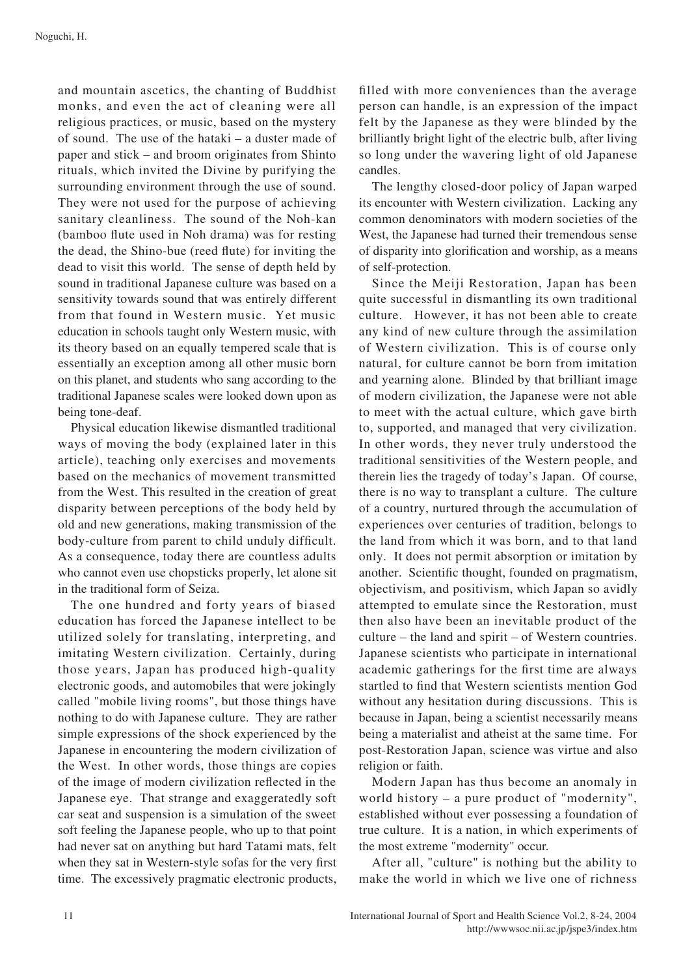and mountain ascetics, the chanting of Buddhist monks, and even the act of cleaning were all religious practices, or music, based on the mystery of sound. The use of the hataki  $-$  a duster made of paper and stick – and broom originates from Shinto rituals, which invited the Divine by purifying the surrounding environment through the use of sound. They were not used for the purpose of achieving sanitary cleanliness. The sound of the Noh-kan (bamboo flute used in Noh drama) was for resting the dead, the Shino-bue (reed flute) for inviting the dead to visit this world. The sense of depth held by sound in traditional Japanese culture was based on a sensitivity towards sound that was entirely different from that found in Western music. Yet music education in schools taught only Western music, with its theory based on an equally tempered scale that is essentially an exception among all other music born on this planet, and students who sang according to the traditional Japanese scales were looked down upon as being tone-deaf.

Physical education likewise dismantled traditional ways of moving the body (explained later in this article), teaching only exercises and movements based on the mechanics of movement transmitted from the West. This resulted in the creation of great disparity between perceptions of the body held by old and new generations, making transmission of the body-culture from parent to child unduly difficult. As a consequence, today there are countless adults who cannot even use chopsticks properly, let alone sit in the traditional form of Seiza.

The one hundred and forty years of biased education has forced the Japanese intellect to be utilized solely for translating, interpreting, and imitating Western civilization. Certainly, during those years, Japan has produced high-quality electronic goods, and automobiles that were jokingly called "mobile living rooms", but those things have nothing to do with Japanese culture. They are rather simple expressions of the shock experienced by the Japanese in encountering the modern civilization of the West. In other words, those things are copies of the image of modern civilization reflected in the Japanese eye. That strange and exaggeratedly soft car seat and suspension is a simulation of the sweet soft feeling the Japanese people, who up to that point had never sat on anything but hard Tatami mats, felt when they sat in Western-style sofas for the very first time. The excessively pragmatic electronic products, filled with more conveniences than the average person can handle, is an expression of the impact felt by the Japanese as they were blinded by the brilliantly bright light of the electric bulb, after living so long under the wavering light of old Japanese .candles

The lengthy closed-door policy of Japan warped its encounter with Western civilization. Lacking any common denominators with modern societies of the West, the Japanese had turned their tremendous sense of disparity into glorification and worship, as a means of self-protection.

Since the Meiji Restoration, Japan has been quite successful in dismantling its own traditional culture. However, it has not been able to create any kind of new culture through the assimilation of Western civilization. This is of course only natural, for culture cannot be born from imitation and yearning alone. Blinded by that brilliant image of modern civilization, the Japanese were not able to meet with the actual culture, which gave birth to, supported, and managed that very civilization. In other words, they never truly understood the traditional sensitivities of the Western people, and therein lies the tragedy of today's Japan. Of course, there is no way to transplant a culture. The culture of a country, nurtured through the accumulation of experiences over centuries of tradition, belongs to the land from which it was born, and to that land only. It does not permit absorption or imitation by another. Scientific thought, founded on pragmatism, objectivism, and positivism, which Japan so avidly attempted to emulate since the Restoration, must then also have been an inevitable product of the  $culture - the land and spirit - of Western countries.$ Japanese scientists who participate in international academic gatherings for the first time are always startled to find that Western scientists mention God without any hesitation during discussions. This is because in Japan, being a scientist necessarily means being a materialist and atheist at the same time. For post-Restoration Japan, science was virtue and also religion or faith.

Modern Japan has thus become an anomaly in world history  $-$  a pure product of "modernity", established without ever possessing a foundation of true culture. It is a nation, in which experiments of the most extreme "modernity" occur.

After all, "culture" is nothing but the ability to make the world in which we live one of richness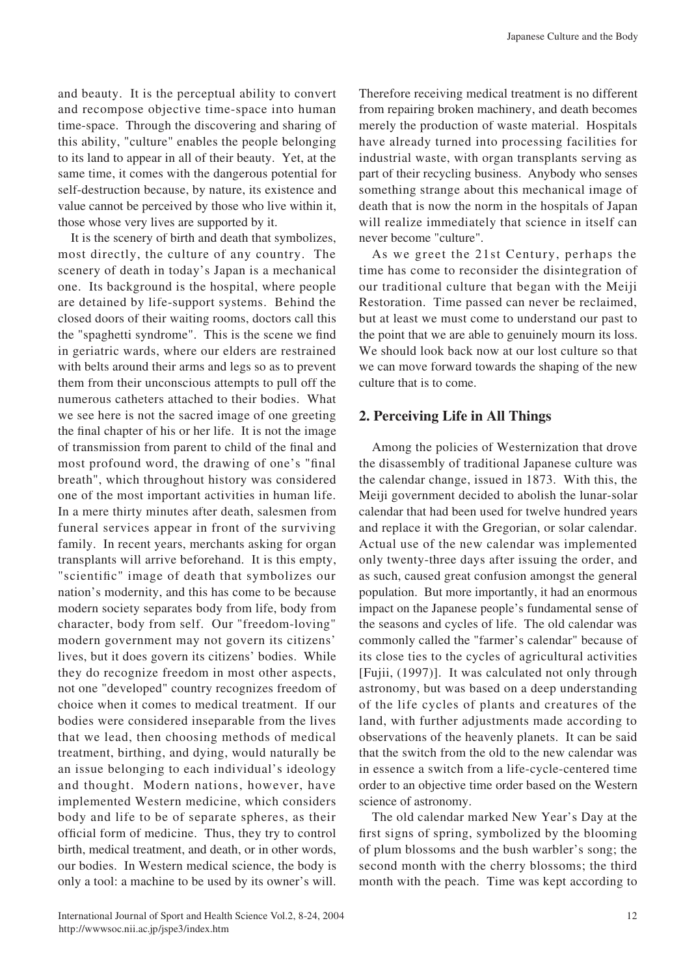and beauty. It is the perceptual ability to convert and recompose objective time-space into human time-space. Through the discovering and sharing of this ability, "culture" enables the people belonging to its land to appear in all of their beauty. Yet, at the same time, it comes with the dangerous potential for self-destruction because, by nature, its existence and value cannot be perceived by those who live within it, those whose very lives are supported by it.

It is the scenery of birth and death that symbolizes, most directly, the culture of any country. The scenery of death in today's Japan is a mechanical one. Its background is the hospital, where people are detained by life-support systems. Behind the closed doors of their waiting rooms, doctors call this the "spaghetti syndrome". This is the scene we find in geriatric wards, where our elders are restrained with belts around their arms and legs so as to prevent them from their unconscious attempts to pull off the numerous catheters attached to their bodies. What we see here is not the sacred image of one greeting the final chapter of his or her life. It is not the image of transmission from parent to child of the final and most profound word, the drawing of one's "final" breath", which throughout history was considered one of the most important activities in human life. In a mere thirty minutes after death, salesmen from funeral services appear in front of the surviving family. In recent years, merchants asking for organ transplants will arrive beforehand. It is this empty, "scientific" image of death that symbolizes our nation's modernity, and this has come to be because modern society separates body from life, body from character, body from self. Our "freedom-loving" modern government may not govern its citizens' lives, but it does govern its citizens' bodies. While they do recognize freedom in most other aspects, not one "developed" country recognizes freedom of choice when it comes to medical treatment. If our bodies were considered inseparable from the lives that we lead, then choosing methods of medical treatment, birthing, and dying, would naturally be an issue belonging to each individual's ideology and thought. Modern nations, however, have implemented Western medicine, which considers body and life to be of separate spheres, as their official form of medicine. Thus, they try to control birth, medical treatment, and death, or in other words, our bodies. In Western medical science, the body is only a tool: a machine to be used by its owner's will. Therefore receiving medical treatment is no different from repairing broken machinery, and death becomes merely the production of waste material. Hospitals have already turned into processing facilities for industrial waste, with organ transplants serving as part of their recycling business. Anybody who senses something strange about this mechanical image of death that is now the norm in the hospitals of Japan will realize immediately that science in itself can never become "culture".

As we greet the 21st Century, perhaps the time has come to reconsider the disintegration of our traditional culture that began with the Meiji Restoration. Time passed can never be reclaimed, but at least we must come to understand our past to the point that we are able to genuinely mourn its loss. We should look back now at our lost culture so that we can move forward towards the shaping of the new culture that is to come.

# **2. Perceiving Life in All Things**

Among the policies of Westernization that drove the disassembly of traditional Japanese culture was the calendar change, issued in 1873. With this, the Meiji government decided to abolish the lunar-solar calendar that had been used for twelve hundred years and replace it with the Gregorian, or solar calendar. Actual use of the new calendar was implemented only twenty-three days after issuing the order, and as such, caused great confusion amongst the general population. But more importantly, it had an enormous impact on the Japanese people's fundamental sense of the seasons and cycles of life. The old calendar was commonly called the "farmer's calendar" because of its close ties to the cycles of agricultural activities [Fujii, (1997)]. It was calculated not only through astronomy, but was based on a deep understanding of the life cycles of plants and creatures of the land, with further adjustments made according to observations of the heavenly planets. It can be said that the switch from the old to the new calendar was in essence a switch from a life-cycle-centered time order to an objective time order based on the Western science of astronomy.

The old calendar marked New Year's Day at the first signs of spring, symbolized by the blooming of plum blossoms and the bush warbler's song; the second month with the cherry blossoms; the third month with the peach. Time was kept according to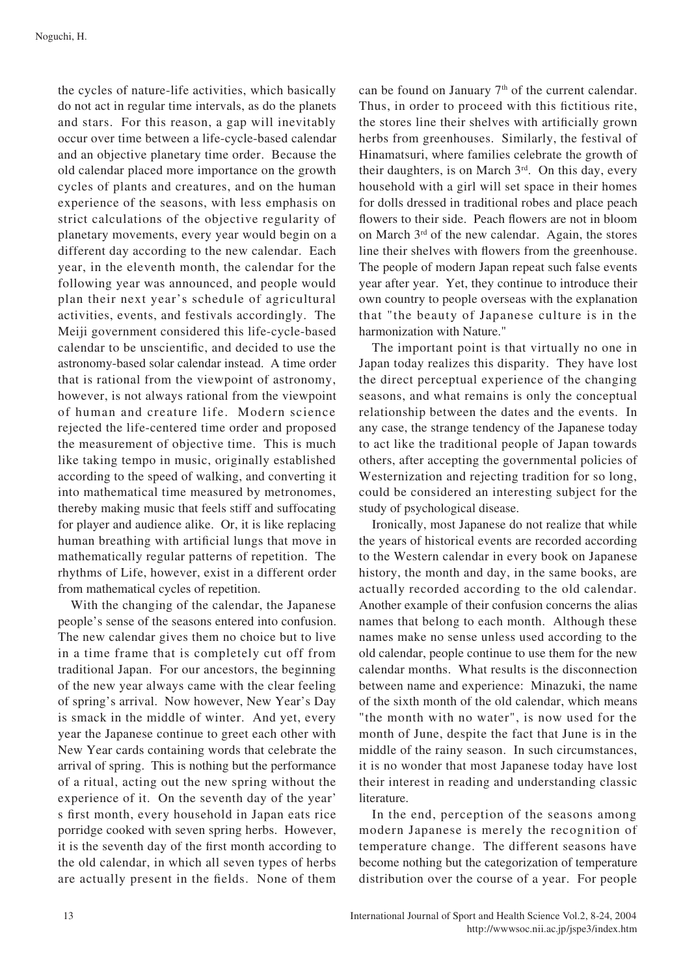the cycles of nature-life activities, which basically do not act in regular time intervals, as do the planets and stars. For this reason, a gap will inevitably occur over time between a life-cycle-based calendar and an objective planetary time order. Because the old calendar placed more importance on the growth cycles of plants and creatures, and on the human experience of the seasons, with less emphasis on strict calculations of the objective regularity of planetary movements, every year would begin on a different day according to the new calendar. Each year, in the eleventh month, the calendar for the following year was announced, and people would plan their next year's schedule of agricultural activities, events, and festivals accordingly. The Meiji government considered this life-cycle-based calendar to be unscientific, and decided to use the astronomy-based solar calendar instead. A time order that is rational from the viewpoint of astronomy, however, is not always rational from the viewpoint of human and creature life. Modern science rejected the life-centered time order and proposed the measurement of objective time. This is much like taking tempo in music, originally established according to the speed of walking, and converting it into mathematical time measured by metronomes, thereby making music that feels stiff and suffocating for player and audience alike. Or, it is like replacing human breathing with artificial lungs that move in mathematically regular patterns of repetition. The rhythms of Life, however, exist in a different order from mathematical cycles of repetition.

With the changing of the calendar, the Japanese people's sense of the seasons entered into confusion. The new calendar gives them no choice but to live in a time frame that is completely cut off from traditional Japan. For our ancestors, the beginning of the new year always came with the clear feeling of spring's arrival. Now however, New Year's Day is smack in the middle of winter. And yet, every year the Japanese continue to greet each other with New Year cards containing words that celebrate the arrival of spring. This is nothing but the performance of a ritual, acting out the new spring without the experience of it. On the seventh day of the year' s first month, every household in Japan eats rice porridge cooked with seven spring herbs. However, it is the seventh day of the first month according to the old calendar, in which all seven types of herbs are actually present in the fields. None of them can be found on January  $7<sup>th</sup>$  of the current calendar. Thus, in order to proceed with this fictitious rite, the stores line their shelves with artificially grown herbs from greenhouses. Similarly, the festival of Hinamatsuri, where families celebrate the growth of their daughters, is on March 3<sup>rd</sup>. On this day, every household with a girl will set space in their homes for dolls dressed in traditional robes and place peach flowers to their side. Peach flowers are not in bloom on March  $3<sup>rd</sup>$  of the new calendar. Again, the stores line their shelves with flowers from the greenhouse. The people of modern Japan repeat such false events year after year. Yet, they continue to introduce their own country to people overseas with the explanation that "the beauty of Japanese culture is in the harmonization with Nature."

The important point is that virtually no one in Japan today realizes this disparity. They have lost the direct perceptual experience of the changing seasons, and what remains is only the conceptual relationship between the dates and the events. In any case, the strange tendency of the Japanese today to act like the traditional people of Japan towards others, after accepting the governmental policies of Westernization and rejecting tradition for so long, could be considered an interesting subject for the study of psychological disease.

Ironically, most Japanese do not realize that while the years of historical events are recorded according to the Western calendar in every book on Japanese history, the month and day, in the same books, are actually recorded according to the old calendar. Another example of their confusion concerns the alias names that belong to each month. Although these names make no sense unless used according to the old calendar, people continue to use them for the new calendar months. What results is the disconnection between name and experience: Minazuki, the name of the sixth month of the old calendar, which means "the month with no water", is now used for the month of June, despite the fact that June is in the middle of the rainy season. In such circumstances, it is no wonder that most Japanese today have lost their interest in reading and understanding classic literature.

In the end, perception of the seasons among modern Japanese is merely the recognition of temperature change. The different seasons have become nothing but the categorization of temperature distribution over the course of a year. For people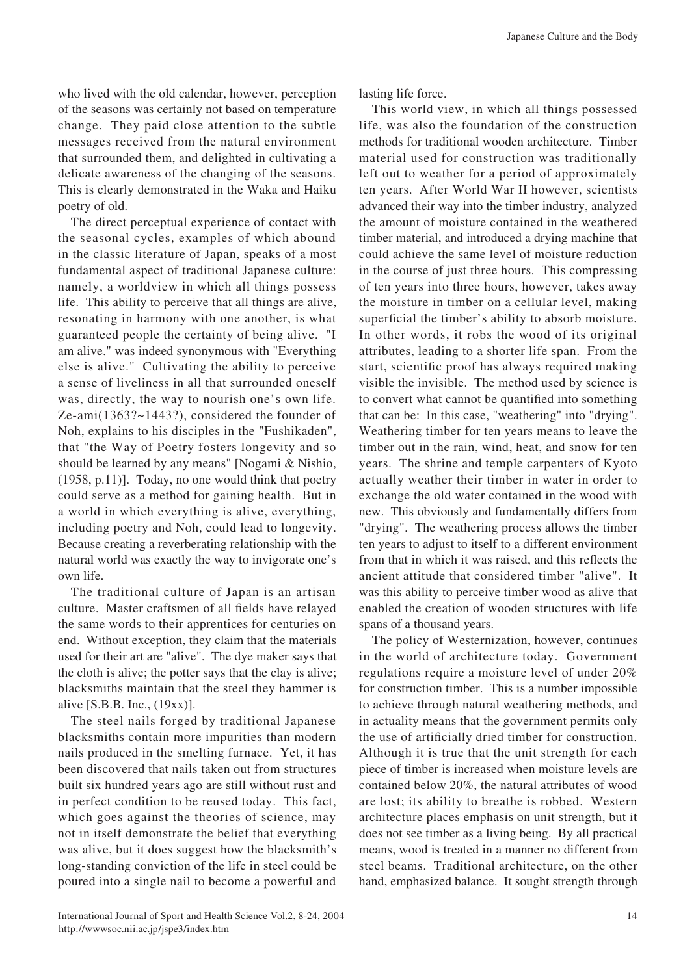who lived with the old calendar, however, perception of the seasons was certainly not based on temperature change. They paid close attention to the subtle messages received from the natural environment that surrounded them, and delighted in cultivating a delicate awareness of the changing of the seasons. This is clearly demonstrated in the Waka and Haiku poetry of old.

The direct perceptual experience of contact with the seasonal cycles, examples of which abound in the classic literature of Japan, speaks of a most fundamental aspect of traditional Japanese culture: namely, a worldview in which all things possess life. This ability to perceive that all things are alive, resonating in harmony with one another, is what guaranteed people the certainty of being alive. "I am alive." was indeed synonymous with "Everything else is alive." Cultivating the ability to perceive a sense of liveliness in all that surrounded oneself was, directly, the way to nourish one's own life.  $Ze$ -ami $(1363?~1443?)$ , considered the founder of Noh, explains to his disciples in the "Fushikaden", that "the Way of Poetry fosters longevity and so should be learned by any means" [Nogami  $&$  Nishio,  $(1958, p.11)$ ]. Today, no one would think that poetry could serve as a method for gaining health. But in a world in which everything is alive, everything, including poetry and Noh, could lead to longevity. Because creating a reverberating relationship with the natural world was exactly the way to invigorate one's own life.

The traditional culture of Japan is an artisan culture. Master craftsmen of all fields have relayed the same words to their apprentices for centuries on end. Without exception, they claim that the materials used for their art are "alive". The dye maker says that the cloth is alive; the potter says that the clay is alive; blacksmiths maintain that the steel they hammer is alive  $[S.B.B. Inc., (19xx)].$ 

The steel nails forged by traditional Japanese blacksmiths contain more impurities than modern has it also produced in the smelting furnace. Yet, it has been discovered that nails taken out from structures built six hundred years ago are still without rust and in perfect condition to be reused today. This fact, which goes against the theories of science, may not in itself demonstrate the belief that everything was alive, but it does suggest how the blacksmith's long-standing conviction of the life in steel could be poured into a single nail to become a powerful and lasting life force.

This world view, in which all things possessed life, was also the foundation of the construction methods for traditional wooden architecture. Timber material used for construction was traditionally left out to weather for a period of approximately ten years. After World War II however, scientists advanced their way into the timber industry, analyzed the amount of moisture contained in the weathered timber material, and introduced a drying machine that could achieve the same level of moisture reduction in the course of just three hours. This compressing of ten years into three hours, however, takes away the moisture in timber on a cellular level, making superficial the timber's ability to absorb moisture. In other words, it robs the wood of its original attributes, leading to a shorter life span. From the start, scientific proof has always required making visible the invisible. The method used by science is to convert what cannot be quantified into something that can be: In this case, "weathering" into "drying". Weathering timber for ten years means to leave the timber out in the rain, wind, heat, and snow for ten years. The shrine and temple carpenters of Kyoto actually weather their timber in water in order to exchange the old water contained in the wood with new. This obviously and fundamentally differs from "drying". The weathering process allows the timber ten years to adjust to itself to a different environment from that in which it was raised, and this reflects the ancient attitude that considered timber "alive". It was this ability to perceive timber wood as alive that enabled the creation of wooden structures with life spans of a thousand years.

The policy of Westernization, however, continues in the world of architecture today. Government regulations require a moisture level of under  $20\%$ for construction timber. This is a number impossible to achieve through natural weathering methods, and in actuality means that the government permits only the use of artificially dried timber for construction. Although it is true that the unit strength for each piece of timber is increased when moisture levels are contained below  $20\%$ , the natural attributes of wood are lost; its ability to breathe is robbed. Western architecture places emphasis on unit strength, but it does not see timber as a living being. By all practical means, wood is treated in a manner no different from steel beams. Traditional architecture, on the other hand, emphasized balance. It sought strength through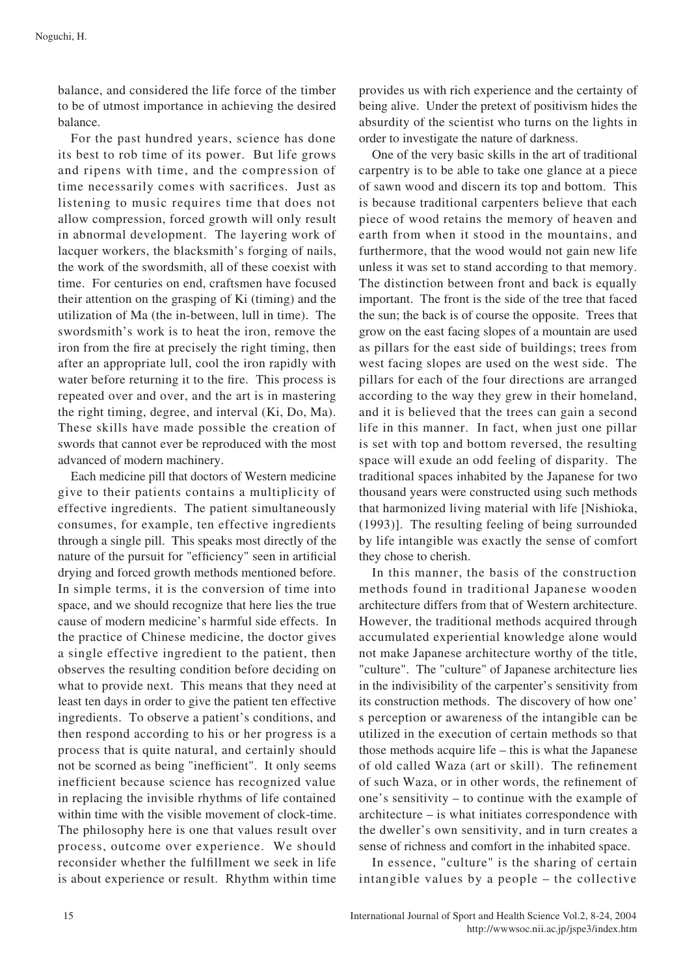balance, and considered the life force of the timber to be of utmost importance in achieving the desired .balance

For the past hundred years, science has done its best to rob time of its power. But life grows and ripens with time, and the compression of time necessarily comes with sacrifices. Just as listening to music requires time that does not allow compression, forced growth will only result in abnormal development. The layering work of lacquer workers, the blacksmith's forging of nails, the work of the swordsmith, all of these coexist with time. For centuries on end, craftsmen have focused their attention on the grasping of Ki (timing) and the utilization of Ma (the in-between, lull in time). The swordsmith's work is to heat the iron, remove the iron from the fire at precisely the right timing, then after an appropriate lull, cool the iron rapidly with water before returning it to the fire. This process is repeated over and over, and the art is in mastering the right timing, degree, and interval  $(Ki, Do, Ma)$ . These skills have made possible the creation of swords that cannot ever be reproduced with the most advanced of modern machinery.

Each medicine pill that doctors of Western medicine give to their patients contains a multiplicity of effective ingredients. The patient simultaneously consumes, for example, ten effective ingredients through a single pill. This speaks most directly of the nature of the pursuit for "efficiency" seen in artificial drying and forced growth methods mentioned before. In simple terms, it is the conversion of time into space, and we should recognize that here lies the true cause of modern medicine's harmful side effects. In the practice of Chinese medicine, the doctor gives a single effective ingredient to the patient, then observes the resulting condition before deciding on what to provide next. This means that they need at least ten days in order to give the patient ten effective ingredients. To observe a patient's conditions, and then respond according to his or her progress is a process that is quite natural, and certainly should not be scorned as being "inefficient". It only seems inefficient because science has recognized value in replacing the invisible rhythms of life contained within time with the visible movement of clock-time. The philosophy here is one that values result over process, outcome over experience. We should reconsider whether the fulfillment we seek in life is about experience or result. Rhythm within time provides us with rich experience and the certainty of being alive. Under the pretext of positivism hides the absurdity of the scientist who turns on the lights in order to investigate the nature of darkness.

One of the very basic skills in the art of traditional carpentry is to be able to take one glance at a piece of sawn wood and discern its top and bottom. This is because traditional carpenters believe that each piece of wood retains the memory of heaven and earth from when it stood in the mountains, and furthermore, that the wood would not gain new life unless it was set to stand according to that memory. The distinction between front and back is equally important. The front is the side of the tree that faced the sun; the back is of course the opposite. Trees that grow on the east facing slopes of a mountain are used as pillars for the east side of buildings; trees from west facing slopes are used on the west side. The pillars for each of the four directions are arranged according to the way they grew in their homeland, and it is believed that the trees can gain a second life in this manner. In fact, when just one pillar is set with top and bottom reversed, the resulting space will exude an odd feeling of disparity. The traditional spaces inhabited by the Japanese for two thousand years were constructed using such methods that harmonized living material with life [Nishioka,  $(1993)$ ]. The resulting feeling of being surrounded by life intangible was exactly the sense of comfort they chose to cherish.

In this manner, the basis of the construction methods found in traditional Japanese wooden architecture differs from that of Western architecture. However, the traditional methods acquired through accumulated experiential knowledge alone would not make Japanese architecture worthy of the title, " culture". The "culture" of Japanese architecture lies in the indivisibility of the carpenter's sensitivity from its construction methods. The discovery of how one' s perception or awareness of the intangible can be utilized in the execution of certain methods so that those methods acquire life  $-$  this is what the Japanese of old called Waza (art or skill). The refinement of such Waza, or in other words, the refinement of one's sensitivity – to continue with the example of architecture – is what initiates correspondence with the dweller's own sensitivity, and in turn creates a sense of richness and comfort in the inhabited space.

In essence, "culture" is the sharing of certain intangible values by a people  $-$  the collective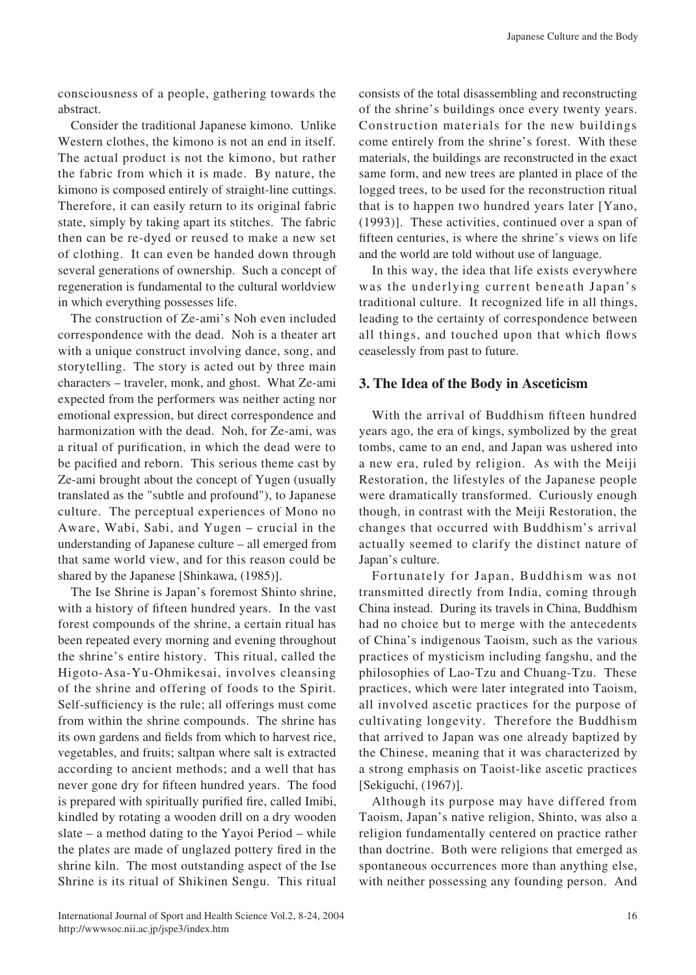consciousness of a people, gathering towards the .abstract

Consider the traditional Japanese kimono. Unlike Western clothes, the kimono is not an end in itself. The actual product is not the kimono, but rather the fabric from which it is made. By nature, the kimono is composed entirely of straight-line cuttings. Therefore, it can easily return to its original fabric state, simply by taking apart its stitches. The fabric then can be re-dyed or reused to make a new set of clothing. It can even be handed down through several generations of ownership. Such a concept of regeneration is fundamental to the cultural worldview in which everything possesses life.

The construction of Ze-ami's Noh even included correspondence with the dead. Noh is a theater art with a unique construct involving dance, song, and storytelling. The story is acted out by three main characters – traveler, monk, and ghost. What Ze-ami expected from the performers was neither acting nor emotional expression, but direct correspondence and harmonization with the dead. Noh, for Ze-ami, was a ritual of purification, in which the dead were to be pacified and reborn. This serious theme cast by Ze-ami brought about the concept of Yugen (usually translated as the "subtle and profound"), to Japanese culture. The perceptual experiences of Mono no Aware, Wabi, Sabi, and Yugen – crucial in the understanding of Japanese culture  $-$  all emerged from that same world view, and for this reason could be shared by the Japanese [Shinkawa, (1985)].

The Ise Shrine is Japan's foremost Shinto shrine, with a history of fifteen hundred years. In the vast forest compounds of the shrine, a certain ritual has been repeated every morning and evening throughout the shrine's entire history. This ritual, called the Higoto-Asa-Yu-Ohmikesai, involves cleansing of the shrine and offering of foods to the Spirit. Self-sufficiency is the rule; all offerings must come from within the shrine compounds. The shrine has its own gardens and fields from which to harvest rice, vegetables, and fruits; saltpan where salt is extracted according to ancient methods; and a well that has never gone dry for fifteen hundred years. The food is prepared with spiritually purified fire, called Imibi, kindled by rotating a wooden drill on a dry wooden slate – a method dating to the Yayoi Period – while the plates are made of unglazed pottery fired in the shrine kiln. The most outstanding aspect of the Ise Shrine is its ritual of Shikinen Sengu. This ritual consists of the total disassembling and reconstructing of the shrine's buildings once every twenty years. Construction materials for the new buildings come entirely from the shrine's forest. With these materials, the buildings are reconstructed in the exact same form, and new trees are planted in place of the logged trees, to be used for the reconstruction ritual that is to happen two hundred years later  $[Yano,$  $(1993)$ ]. These activities, continued over a span of fifteen centuries, is where the shrine's views on life and the world are told without use of language.

In this way, the idea that life exists everywhere was the underlying current beneath Japan's traditional culture. It recognized life in all things, leading to the certainty of correspondence between all things, and touched upon that which flows ceaselessly from past to future.

## **3. The Idea of the Body in Asceticism**

With the arrival of Buddhism fifteen hundred years ago, the era of kings, symbolized by the great tombs, came to an end, and Japan was ushered into a new era, ruled by religion. As with the Meiji Restoration, the lifestyles of the Japanese people were dramatically transformed. Curiously enough though, in contrast with the Meiji Restoration, the changes that occurred with Buddhism's arrival actually seemed to clarify the distinct nature of Japan's culture.

Fortunately for Japan, Buddhism was not transmitted directly from India, coming through China instead. During its travels in China, Buddhism had no choice but to merge with the antecedents of China's indigenous Taoism, such as the various practices of mysticism including fangshu, and the philosophies of Lao-Tzu and Chuang-Tzu. These practices, which were later integrated into Taoism, all involved ascetic practices for the purpose of cultivating longevity. Therefore the Buddhism that arrived to Japan was one already baptized by the Chinese, meaning that it was characterized by a strong emphasis on Taoist-like ascetic practices [Sekiguchi, (1967)].

Although its purpose may have differed from Taoism, Japan's native religion, Shinto, was also a religion fundamentally centered on practice rather than doctrine. Both were religions that emerged as spontaneous occurrences more than anything else, with neither possessing any founding person. And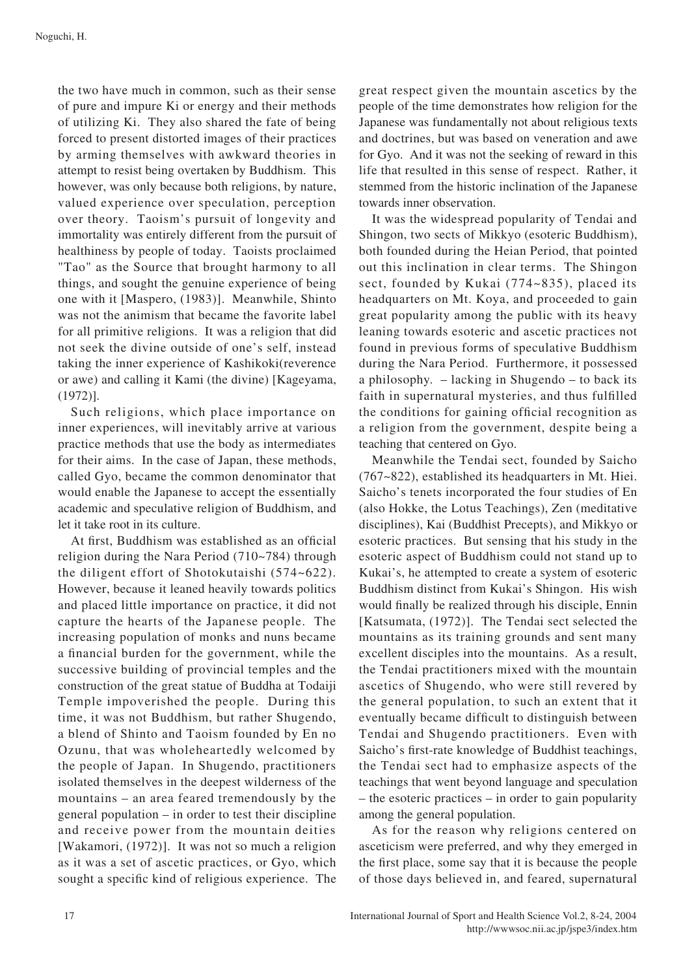the two have much in common, such as their sense of pure and impure Ki or energy and their methods of utilizing Ki. They also shared the fate of being. forced to present distorted images of their practices by arming themselves with awkward theories in attempt to resist being overtaken by Buddhism. This however, was only because both religions, by nature, valued experience over speculation, perception over theory. Taoism's pursuit of longevity and immortality was entirely different from the pursuit of healthiness by people of today. Taoists proclaimed "Tao" as the Source that brought harmony to all things, and sought the genuine experience of being one with it [Maspero, (1983)]. Meanwhile, Shinto was not the animism that became the favorite label for all primitive religions. It was a religion that did not seek the divine outside of one's self, instead taking the inner experience of Kashikoki (reverence or awe) and calling it Kami (the divine) [Kageyama,  $(1972)$ ].

Such religions, which place importance on inner experiences, will inevitably arrive at various practice methods that use the body as intermediates for their aims. In the case of Japan, these methods, called Gyo, became the common denominator that would enable the Japanese to accept the essentially academic and speculative religion of Buddhism, and let it take root in its culture.

At first, Buddhism was established as an official religion during the Nara Period  $(710~784)$  through the diligent effort of Shotokutaishi  $(574-622)$ . However, because it leaned heavily towards politics and placed little importance on practice, it did not capture the hearts of the Japanese people. The increasing population of monks and nuns became a financial burden for the government, while the successive building of provincial temples and the construction of the great statue of Buddha at Todaiji Temple impoverished the people. During this time, it was not Buddhism, but rather Shugendo, a blend of Shinto and Taoism founded by En no Ozunu, that was wholeheartedly welcomed by the people of Japan. In Shugendo, practitioners isolated themselves in the deepest wilderness of the  $m$  mountains – an area feared tremendously by the general population – in order to test their discipline and receive power from the mountain deities [Wakamori,  $(1972)$ ]. It was not so much a religion as it was a set of ascetic practices, or Gyo, which sought a specific kind of religious experience. The great respect given the mountain ascetics by the people of the time demonstrates how religion for the Japanese was fundamentally not about religious texts and doctrines, but was based on veneration and awe for Gyo. And it was not the seeking of reward in this life that resulted in this sense of respect. Rather, it stemmed from the historic inclination of the Japanese towards inner observation.

It was the widespread popularity of Tendai and Shingon, two sects of Mikkyo (esoteric Buddhism), both founded during the Heian Period, that pointed out this inclination in clear terms. The Shingon sect, founded by Kukai  $(774~835)$ , placed its headquarters on Mt. Koya, and proceeded to gain great popularity among the public with its heavy leaning towards esoteric and ascetic practices not found in previous forms of speculative Buddhism during the Nara Period. Furthermore, it possessed a philosophy. – lacking in Shugendo – to back its faith in supernatural mysteries, and thus fulfilled the conditions for gaining official recognition as a religion from the government, despite being a teaching that centered on Gyo.

Meanwhile the Tendai sect, founded by Saicho  $(767~822)$ , established its headquarters in Mt. Hiei. Saicho's tenets incorporated the four studies of En (also Hokke, the Lotus Teachings), Zen (meditative disciplines), Kai (Buddhist Precepts), and Mikkyo or esoteric practices. But sensing that his study in the esoteric aspect of Buddhism could not stand up to Kukai's, he attempted to create a system of esoteric Buddhism distinct from Kukai's Shingon. His wish would finally be realized through his disciple, Ennin [Katsumata,  $(1972)$ ]. The Tendai sect selected the mountains as its training grounds and sent many excellent disciples into the mountains. As a result, the Tendai practitioners mixed with the mountain ascetics of Shugendo, who were still revered by the general population, to such an extent that it eventually became difficult to distinguish between Tendai and Shugendo practitioners. Even with Saicho's first-rate knowledge of Buddhist teachings, the Tendai sect had to emphasize aspects of the teachings that went beyond language and speculation  $-$  the esoteric practices – in order to gain popularity among the general population.

As for the reason why religions centered on asceticism were preferred, and why they emerged in the first place, some say that it is because the people of those days believed in, and feared, supernatural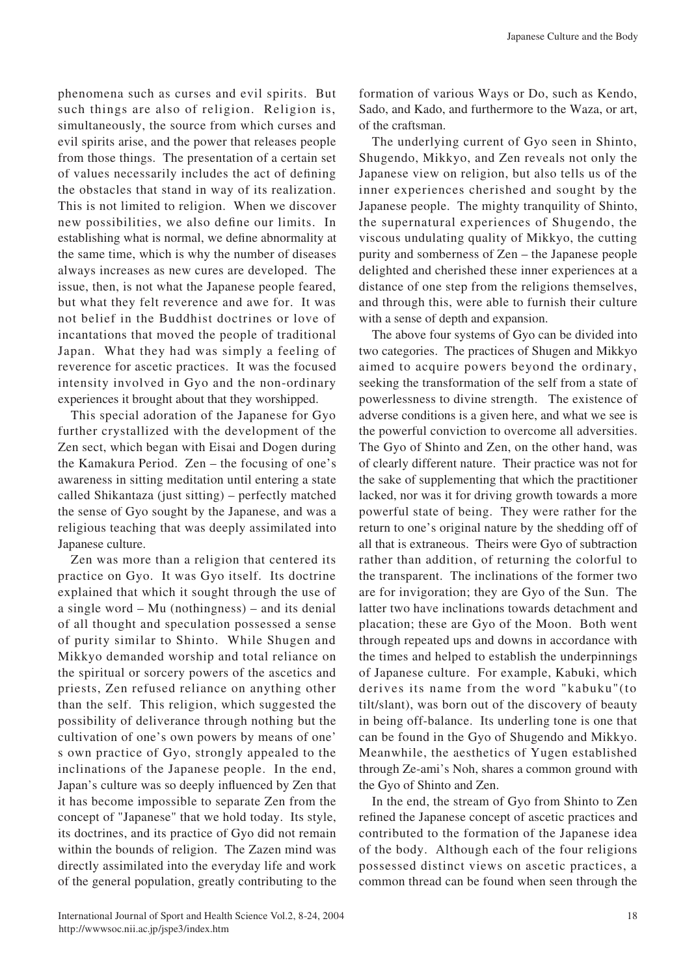phenomena such as curses and evil spirits. But such things are also of religion. Religion is, simultaneously, the source from which curses and evil spirits arise, and the power that releases people from those things. The presentation of a certain set of values necessarily includes the act of defining the obstacles that stand in way of its realization. This is not limited to religion. When we discover new possibilities, we also define our limits. In establishing what is normal, we define abnormality at the same time, which is why the number of diseases always increases as new cures are developed. The issue, then, is not what the Japanese people feared, but what they felt reverence and awe for. It was not belief in the Buddhist doctrines or love of incantations that moved the people of traditional Japan. What they had was simply a feeling of reverence for ascetic practices. It was the focused intensity involved in Gyo and the non-ordinary experiences it brought about that they worshipped.

This special adoration of the Japanese for Gyo further crystallized with the development of the Zen sect, which began with Eisai and Dogen during the Kamakura Period. Zen – the focusing of one's awareness in sitting meditation until entering a state called Shikantaza (just sitting) – perfectly matched the sense of Gyo sought by the Japanese, and was a religious teaching that was deeply assimilated into Japanese culture.

Zen was more than a religion that centered its practice on Gyo. It was Gyo itself. Its doctrine explained that which it sought through the use of a single word – Mu (nothingness) – and its denial of all thought and speculation possessed a sense of purity similar to Shinto. While Shugen and Mikkyo demanded worship and total reliance on the spiritual or sorcery powers of the ascetics and priests, Zen refused reliance on anything other than the self. This religion, which suggested the possibility of deliverance through nothing but the cultivation of one's own powers by means of one' s own practice of Gyo, strongly appealed to the inclinations of the Japanese people. In the end, Japan's culture was so deeply influenced by Zen that it has become impossible to separate Zen from the concept of "Japanese" that we hold today. Its style, its doctrines, and its practice of Gyo did not remain within the bounds of religion. The Zazen mind was directly assimilated into the everyday life and work of the general population, greatly contributing to the formation of various Ways or Do, such as Kendo, Sado, and Kado, and furthermore to the Waza, or art, of the craftsman.

The underlying current of Gyo seen in Shinto, Shugendo, Mikkyo, and Zen reveals not only the Japanese view on religion, but also tells us of the inner experiences cherished and sought by the Japanese people. The mighty tranquility of Shinto, the supernatural experiences of Shugendo, the viscous undulating quality of Mikkyo, the cutting purity and somberness of Zen – the Japanese people delighted and cherished these inner experiences at a distance of one step from the religions themselves, and through this, were able to furnish their culture with a sense of depth and expansion.

The above four systems of Gyo can be divided into two categories. The practices of Shugen and Mikkyo aimed to acquire powers beyond the ordinary, seeking the transformation of the self from a state of powerlessness to divine strength. The existence of adverse conditions is a given here, and what we see is the powerful conviction to overcome all adversities. The Gyo of Shinto and Zen, on the other hand, was of clearly different nature. Their practice was not for the sake of supplementing that which the practitioner lacked, nor was it for driving growth towards a more powerful state of being. They were rather for the return to one's original nature by the shedding off of all that is extraneous. Theirs were Gyo of subtraction rather than addition, of returning the colorful to the transparent. The inclinations of the former two are for invigoration; they are Gyo of the Sun. The latter two have inclinations towards detachment and placation; these are Gyo of the Moon. Both went through repeated ups and downs in accordance with the times and helped to establish the underpinnings of Japanese culture. For example, Kabuki, which derives its name from the word "kabuku"(to tilt/slant), was born out of the discovery of beauty in being off-balance. Its underling tone is one that can be found in the Gyo of Shugendo and Mikkyo. Meanwhile, the aesthetics of Yugen established through Ze-ami's Noh, shares a common ground with the Gyo of Shinto and Zen.

In the end, the stream of Gyo from Shinto to Zen refined the Japanese concept of ascetic practices and contributed to the formation of the Japanese idea of the body. Although each of the four religions possessed distinct views on ascetic practices, a common thread can be found when seen through the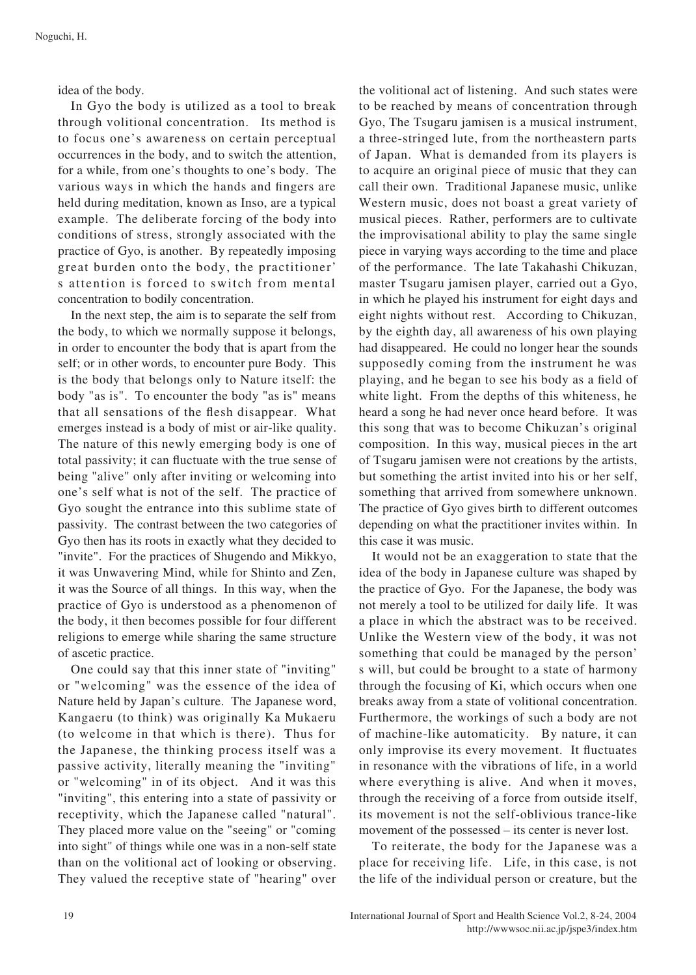idea of the body.

In Gyo the body is utilized as a tool to break through volitional concentration. Its method is to focus one's awareness on certain perceptual occurrences in the body, and to switch the attention, for a while, from one's thoughts to one's body. The various ways in which the hands and fingers are held during meditation, known as Inso, are a typical example. The deliberate forcing of the body into conditions of stress, strongly associated with the practice of Gyo, is another. By repeatedly imposing great burden onto the body, the practitioner' s attention is forced to switch from mental concentration to bodily concentration.

In the next step, the aim is to separate the self from the body, to which we normally suppose it belongs, in order to encounter the body that is apart from the self; or in other words, to encounter pure Body. This is the body that belongs only to Nature itself: the body "as is". To encounter the body "as is" means that all sensations of the flesh disappear. What emerges instead is a body of mist or air-like quality. The nature of this newly emerging body is one of total passivity; it can fluctuate with the true sense of being "alive" only after inviting or welcoming into one's self what is not of the self. The practice of Gyo sought the entrance into this sublime state of passivity. The contrast between the two categories of Gyo then has its roots in exactly what they decided to "invite". For the practices of Shugendo and Mikkyo, it was Unwavering Mind, while for Shinto and Zen, it was the Source of all things. In this way, when the practice of Gyo is understood as a phenomenon of the body, it then becomes possible for four different religions to emerge while sharing the same structure of ascetic practice.

One could say that this inner state of "inviting" or "welcoming" was the essence of the idea of Nature held by Japan's culture. The Japanese word, Kangaeru (to think) was originally Ka Mukaeru (to welcome in that which is there). Thus for the Japanese, the thinking process itself was a passive activity, literally meaning the "inviting" or "welcoming" in of its object. And it was this "inviting", this entering into a state of passivity or receptivity, which the Japanese called "natural". They placed more value on the "seeing" or "coming" into sight" of things while one was in a non-self state than on the volitional act of looking or observing. They valued the receptive state of "hearing" over the volitional act of listening. And such states were to be reached by means of concentration through Gyo, The Tsugaru jamisen is a musical instrument, a three-stringed lute, from the northeastern parts of Japan. What is demanded from its players is to acquire an original piece of music that they can call their own. Traditional Japanese music, unlike Western music, does not boast a great variety of musical pieces. Rather, performers are to cultivate the improvisational ability to play the same single piece in varying ways according to the time and place of the performance. The late Takahashi Chikuzan, master Tsugaru jamisen player, carried out a Gyo, in which he played his instrument for eight days and eight nights without rest. According to Chikuzan, by the eighth day, all awareness of his own playing had disappeared. He could no longer hear the sounds supposedly coming from the instrument he was playing, and he began to see his body as a field of white light. From the depths of this whiteness, he heard a song he had never once heard before. It was this song that was to become Chikuzan's original composition. In this way, musical pieces in the art of Tsugaru jamisen were not creations by the artists, but something the artist invited into his or her self, something that arrived from somewhere unknown. The practice of Gyo gives birth to different outcomes depending on what the practitioner invites within. In this case it was music.

It would not be an exaggeration to state that the idea of the body in Japanese culture was shaped by the practice of Gyo. For the Japanese, the body was not merely a tool to be utilized for daily life. It was a place in which the abstract was to be received. Unlike the Western view of the body, it was not something that could be managed by the person' s will, but could be brought to a state of harmony through the focusing of Ki, which occurs when one breaks away from a state of volitional concentration. Furthermore, the workings of such a body are not of machine-like automaticity. By nature, it can only improvise its every movement. It fluctuates in resonance with the vibrations of life, in a world where everything is alive. And when it moves, through the receiving of a force from outside itself, its movement is not the self-oblivious trance-like movement of the possessed – its center is never lost.

To reiterate, the body for the Japanese was a place for receiving life. Life, in this case, is not the life of the individual person or creature, but the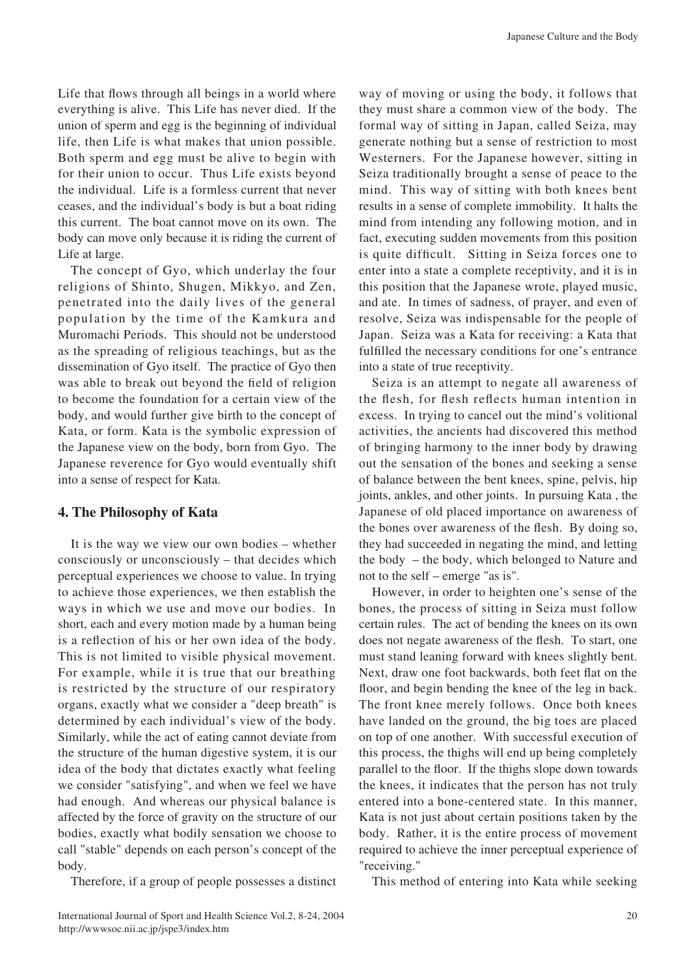Life that flows through all beings in a world where everything is alive. This Life has never died. If the union of sperm and egg is the beginning of individual life, then Life is what makes that union possible. Both sperm and egg must be alive to begin with for their union to occur. Thus Life exists beyond the individual. Life is a formless current that never ceases, and the individual's body is but a boat riding this current. The boat cannot move on its own. The body can move only because it is riding the current of Life at large.

The concept of Gyo, which underlay the four religions of Shinto, Shugen, Mikkyo, and Zen, penetrated into the daily lives of the general population by the time of the Kamkura and Muromachi Periods. This should not be understood as the spreading of religious teachings, but as the dissemination of Gyo itself. The practice of Gyo then was able to break out beyond the field of religion to become the foundation for a certain view of the body, and would further give birth to the concept of Kata, or form. Kata is the symbolic expression of the Japanese view on the body, born from Gyo. The Japanese reverence for Gyo would eventually shift into a sense of respect for Kata.

# **4. The Philosophy of Kata**

It is the way we view our own bodies  $-$  whether consciously or unconsciously – that decides which perceptual experiences we choose to value. In trying to achieve those experiences, we then establish the ways in which we use and move our bodies. In short, each and every motion made by a human being is a reflection of his or her own idea of the body. This is not limited to visible physical movement. For example, while it is true that our breathing is restricted by the structure of our respiratory organs, exactly what we consider a "deep breath" is determined by each individual's view of the body. Similarly, while the act of eating cannot deviate from the structure of the human digestive system, it is our idea of the body that dictates exactly what feeling we consider "satisfying", and when we feel we have had enough. And whereas our physical balance is affected by the force of gravity on the structure of our bodies, exactly what bodily sensation we choose to call "stable" depends on each person's concept of the .body

Therefore, if a group of people possesses a distinct

way of moving or using the body, it follows that they must share a common view of the body. The formal way of sitting in Japan, called Seiza, may generate nothing but a sense of restriction to most Westerners. For the Japanese however, sitting in Seiza traditionally brought a sense of peace to the mind. This way of sitting with both knees bent results in a sense of complete immobility. It halts the mind from intending any following motion, and in fact, executing sudden movements from this position is quite difficult. Sitting in Seiza forces one to enter into a state a complete receptivity, and it is in this position that the Japanese wrote, played music, and ate. In times of sadness, of prayer, and even of resolve, Seiza was indispensable for the people of Japan. Seiza was a Kata for receiving: a Kata that fulfilled the necessary conditions for one's entrance into a state of true receptivity.

Seiza is an attempt to negate all awareness of the flesh, for flesh reflects human intention in excess. In trying to cancel out the mind's volitional activities, the ancients had discovered this method of bringing harmony to the inner body by drawing out the sensation of the bones and seeking a sense of balance between the bent knees, spine, pelvis, hip joints, ankles, and other joints. In pursuing Kata, the Japanese of old placed importance on awareness of the bones over awareness of the flesh. By doing so, they had succeeded in negating the mind, and letting the body – the body, which belonged to Nature and not to the self – emerge "as is".

However, in order to heighten one's sense of the bones, the process of sitting in Seiza must follow certain rules. The act of bending the knees on its own does not negate awareness of the flesh. To start, one must stand leaning forward with knees slightly bent. Next, draw one foot backwards, both feet flat on the floor, and begin bending the knee of the leg in back. The front knee merely follows. Once both knees have landed on the ground, the big toes are placed on top of one another. With successful execution of this process, the thighs will end up being completely parallel to the floor. If the thighs slope down towards the knees, it indicates that the person has not truly entered into a bone-centered state. In this manner, Kata is not just about certain positions taken by the body. Rather, it is the entire process of movement required to achieve the inner perceptual experience of "receiving."

This method of entering into Kata while seeking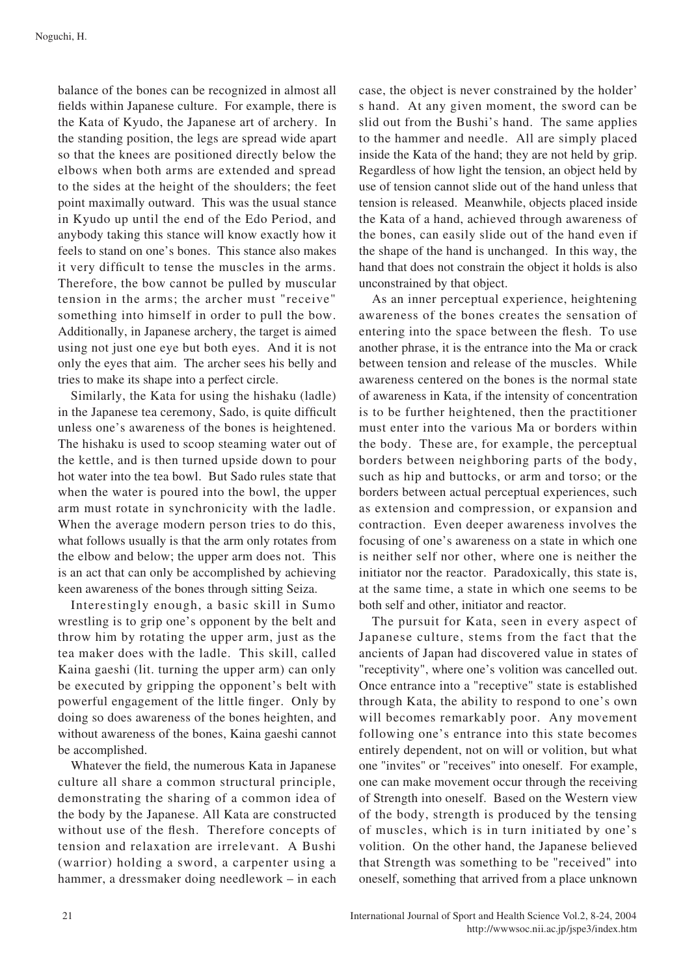balance of the bones can be recognized in almost all fields within Japanese culture. For example, there is the Kata of Kyudo, the Japanese art of archery. In the standing position, the legs are spread wide apart so that the knees are positioned directly below the elbows when both arms are extended and spread to the sides at the height of the shoulders; the feet point maximally outward. This was the usual stance in Kyudo up until the end of the Edo Period, and anybody taking this stance will know exactly how it feels to stand on one's bones. This stance also makes it very difficult to tense the muscles in the arms. Therefore, the bow cannot be pulled by muscular tension in the arms; the archer must "receive" something into himself in order to pull the bow. Additionally, in Japanese archery, the target is aimed using not just one eye but both eyes. And it is not only the eyes that aim. The archer sees his belly and tries to make its shape into a perfect circle.

Similarly, the Kata for using the hishaku (ladle) in the Japanese tea ceremony, Sado, is quite difficult unless one's awareness of the bones is heightened. The hishaku is used to scoop steaming water out of the kettle, and is then turned upside down to pour hot water into the tea bowl. But Sado rules state that when the water is poured into the bowl, the upper arm must rotate in synchronicity with the ladle. When the average modern person tries to do this, what follows usually is that the arm only rotates from the elbow and below; the upper arm does not. This is an act that can only be accomplished by achieving keen awareness of the bones through sitting Seiza.

Interestingly enough, a basic skill in Sumo wrestling is to grip one's opponent by the belt and throw him by rotating the upper arm, just as the tea maker does with the ladle. This skill, called Kaina gaeshi (lit. turning the upper arm) can only be executed by gripping the opponent's belt with powerful engagement of the little finger. Only by doing so does awareness of the bones heighten, and without awareness of the bones, Kaina gaeshi cannot be accomplished.

Whatever the field, the numerous Kata in Japanese culture all share a common structural principle, demonstrating the sharing of a common idea of the body by the Japanese. All Kata are constructed without use of the flesh. Therefore concepts of tension and relaxation are irrelevant. A Bushi (warrior) holding a sword, a carpenter using a hammer, a dressmaker doing needlework – in each case, the object is never constrained by the holder' s hand. At any given moment, the sword can be slid out from the Bushi's hand. The same applies to the hammer and needle. All are simply placed inside the Kata of the hand; they are not held by grip. Regardless of how light the tension, an object held by use of tension cannot slide out of the hand unless that tension is released. Meanwhile, objects placed inside the Kata of a hand, achieved through awareness of the bones, can easily slide out of the hand even if the shape of the hand is unchanged. In this way, the hand that does not constrain the object it holds is also unconstrained by that object.

As an inner perceptual experience, heightening awareness of the bones creates the sensation of entering into the space between the flesh. To use another phrase, it is the entrance into the Ma or crack between tension and release of the muscles. While awareness centered on the bones is the normal state of awareness in Kata, if the intensity of concentration is to be further heightened, then the practitioner must enter into the various Ma or borders within the body. These are, for example, the perceptual borders between neighboring parts of the body, such as hip and buttocks, or arm and torso; or the borders between actual perceptual experiences, such as extension and compression, or expansion and contraction. Even deeper awareness involves the focusing of one's awareness on a state in which one is neither self nor other, where one is neither the initiator nor the reactor. Paradoxically, this state is, at the same time, a state in which one seems to be both self and other, initiator and reactor.

The pursuit for Kata, seen in every aspect of Japanese culture, stems from the fact that the ancients of Japan had discovered value in states of "receptivity", where one's volition was cancelled out. Once entrance into a "receptive" state is established through Kata, the ability to respond to one's own will becomes remarkably poor. Any movement following one's entrance into this state becomes entirely dependent, not on will or volition, but what one "invites" or "receives" into oneself. For example, one can make movement occur through the receiving of Strength into oneself. Based on the Western view of the body, strength is produced by the tensing of muscles, which is in turn initiated by one's volition. On the other hand, the Japanese believed that Strength was something to be "received" into oneself, something that arrived from a place unknown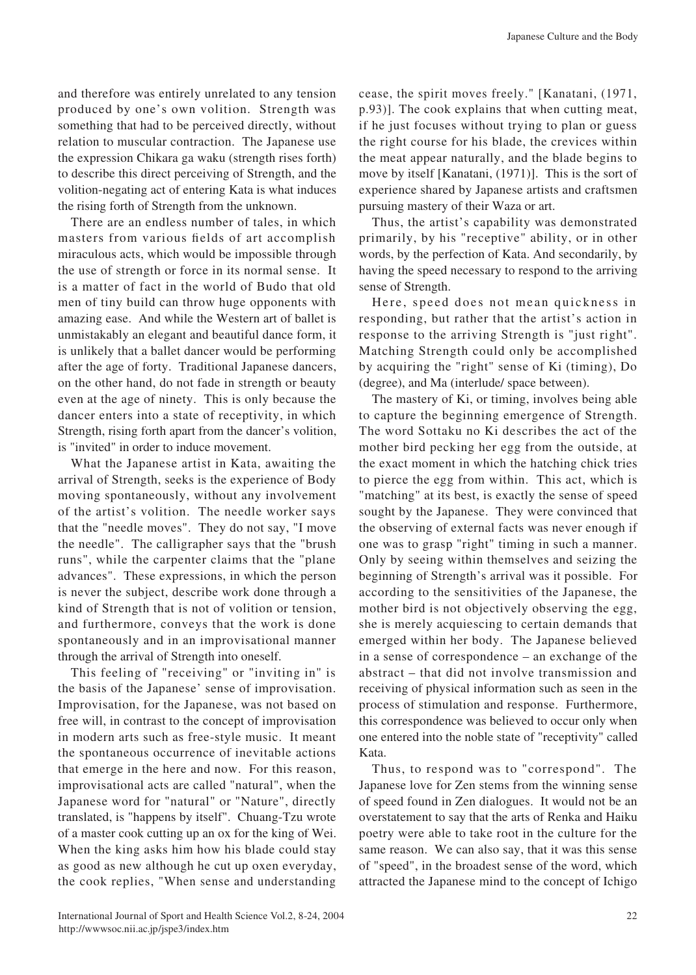and therefore was entirely unrelated to any tension produced by one's own volition. Strength was something that had to be perceived directly, without relation to muscular contraction. The Japanese use the expression Chikara ga waku (strength rises forth) to describe this direct perceiving of Strength, and the volition-negating act of entering Kata is what induces the rising forth of Strength from the unknown.

There are an endless number of tales, in which masters from various fields of art accomplish miraculous acts, which would be impossible through the use of strength or force in its normal sense. It is a matter of fact in the world of Budo that old men of tiny build can throw huge opponents with amazing ease. And while the Western art of ballet is unmistakably an elegant and beautiful dance form, it is unlikely that a ballet dancer would be performing after the age of forty. Traditional Japanese dancers, on the other hand, do not fade in strength or beauty even at the age of ninety. This is only because the dancer enters into a state of receptivity, in which Strength, rising forth apart from the dancer's volition, is "invited" in order to induce movement.

What the Japanese artist in Kata, awaiting the arrival of Strength, seeks is the experience of Body moving spontaneously, without any involvement of the artist's volition. The needle worker says that the "needle moves". They do not say, "I move the needle". The calligrapher says that the "brush" runs", while the carpenter claims that the "plane" advances". These expressions, in which the person is never the subject, describe work done through a kind of Strength that is not of volition or tension, and furthermore, conveys that the work is done spontaneously and in an improvisational manner through the arrival of Strength into oneself.

This feeling of "receiving" or "inviting in" is the basis of the Japanese' sense of improvisation. Improvisation, for the Japanese, was not based on free will, in contrast to the concept of improvisation in modern arts such as free-style music. It meant the spontaneous occurrence of inevitable actions that emerge in the here and now. For this reason, improvisational acts are called "natural", when the Japanese word for "natural" or "Nature", directly translated, is "happens by itself". Chuang-Tzu wrote of a master cook cutting up an ox for the king of Wei. When the king asks him how his blade could stay as good as new although he cut up oxen everyday, the cook replies, "When sense and understanding cease, the spirit moves freely." [Kanatani,  $(1971,$  $(p.93)$ ]. The cook explains that when cutting meat, if he just focuses without trying to plan or guess the right course for his blade, the crevices within the meat appear naturally, and the blade begins to move by itself [Kanatani, (1971)]. This is the sort of experience shared by Japanese artists and craftsmen pursuing mastery of their Waza or art.

Thus, the artist's capability was demonstrated primarily, by his "receptive" ability, or in other words, by the perfection of Kata. And secondarily, by having the speed necessary to respond to the arriving sense of Strength.

Here, speed does not mean quickness in responding, but rather that the artist's action in response to the arriving Strength is "just right". Matching Strength could only be accomplished by acquiring the "right" sense of Ki (timing), Do (degree), and Ma (interlude/ space between).

The mastery of Ki, or timing, involves being able to capture the beginning emergence of Strength. The word Sottaku no Ki describes the act of the mother bird pecking her egg from the outside, at the exact moment in which the hatching chick tries to pierce the egg from within. This act, which is "matching" at its best, is exactly the sense of speed sought by the Japanese. They were convinced that the observing of external facts was never enough if one was to grasp "right" timing in such a manner. Only by seeing within themselves and seizing the beginning of Strength's arrival was it possible. For according to the sensitivities of the Japanese, the mother bird is not objectively observing the egg, she is merely acquiescing to certain demands that emerged within her body. The Japanese believed in a sense of correspondence  $-$  an exchange of the abstract – that did not involve transmission and receiving of physical information such as seen in the process of stimulation and response. Furthermore, this correspondence was believed to occur only when one entered into the noble state of "receptivity" called Kata.

Thus, to respond was to "correspond". The Japanese love for Zen stems from the winning sense of speed found in Zen dialogues. It would not be an overstatement to say that the arts of Renka and Haiku poetry were able to take root in the culture for the same reason. We can also say, that it was this sense of "speed", in the broadest sense of the word, which attracted the Japanese mind to the concept of Ichigo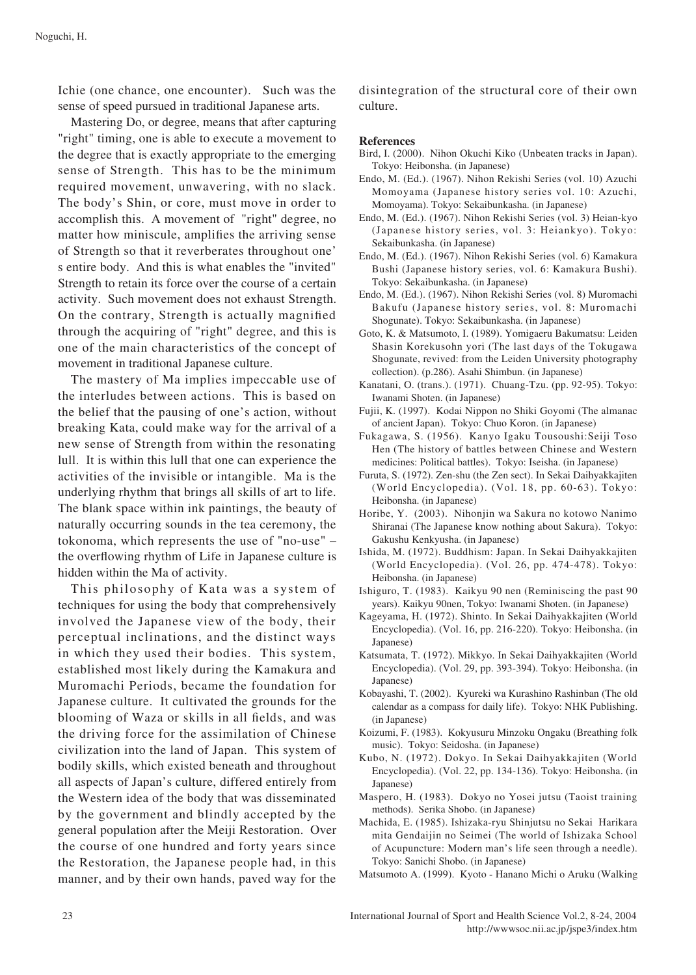Ichie (one chance, one encounter). Such was the sense of speed pursued in traditional Japanese arts.

Mastering Do, or degree, means that after capturing "right" timing, one is able to execute a movement to the degree that is exactly appropriate to the emerging sense of Strength. This has to be the minimum required movement, unwavering, with no slack. The body's Shin, or core, must move in order to accomplish this. A movement of "right" degree, no matter how miniscule, amplifies the arriving sense of Strength so that it reverberates throughout one' s entire body. And this is what enables the "invited" Strength to retain its force over the course of a certain activity. Such movement does not exhaust Strength. On the contrary, Strength is actually magnified through the acquiring of "right" degree, and this is one of the main characteristics of the concept of movement in traditional Japanese culture.

The mastery of Ma implies impeccable use of the interludes between actions. This is based on the belief that the pausing of one's action, without breaking Kata, could make way for the arrival of a new sense of Strength from within the resonating lull. It is within this lull that one can experience the activities of the invisible or intangible. Ma is the underlying rhythm that brings all skills of art to life. The blank space within ink paintings, the beauty of naturally occurring sounds in the tea ceremony, the tokonoma, which represents the use of "no-use"  $$ the overflowing rhythm of Life in Japanese culture is hidden within the Ma of activity.

This philosophy of Kata was a system of techniques for using the body that comprehensively involved the Japanese view of the body, their perceptual inclinations, and the distinct ways in which they used their bodies. This system, established most likely during the Kamakura and Muromachi Periods, became the foundation for Japanese culture. It cultivated the grounds for the blooming of Waza or skills in all fields, and was the driving force for the assimilation of Chinese civilization into the land of Japan. This system of bodily skills, which existed beneath and throughout all aspects of Japan's culture, differed entirely from the Western idea of the body that was disseminated by the government and blindly accepted by the general population after the Meiji Restoration. Over the course of one hundred and forty years since the Restoration, the Japanese people had, in this manner, and by their own hands, paved way for the

disintegration of the structural core of their own .culture

### **References**

- Bird, I. (2000). Nihon Okuchi Kiko (Unbeaten tracks in Japan). Tokyo: Heibonsha. (in Japanese)
- Endo, M. (Ed.). (1967). Nihon Rekishi Series (vol. 10) Azuchi Momoyama (Japanese history series vol. 10: Azuchi, Momoyama). Tokyo: Sekaibunkasha. (in Japanese)
- Endo, M. (Ed.). (1967). Nihon Rekishi Series (vol. 3) Heian-kyo. (Japanese history series, vol. 3: Heiankyo). Tokyo: Sekaibunkasha. (in Japanese)
- Endo, M. (Ed.). (1967). Nihon Rekishi Series (vol. 6) Kamakura Bushi (Japanese history series, vol. 6: Kamakura Bushi). Tokyo: Sekaibunkasha. (in Japanese)
- Endo, M. (Ed.). (1967). Nihon Rekishi Series (vol. 8) Muromachi Bakufu (Japanese history series, vol. 8: Muromachi Shogunate). Tokyo: Sekaibunkasha. (in Japanese)
- Goto, K. & Matsumoto, I. (1989). Yomigaeru Bakumatsu: Leiden Shasin Korekusohn yori (The last days of the Tokugawa Shogunate, revived: from the Leiden University photography collection). (p.286). Asahi Shimbun. (in Japanese)
- Kanatani, O. (trans.). (1971). Chuang-Tzu. (pp. 92-95). Tokyo: Iwanami Shoten. (in Japanese)
- Fujii, K. (1997). Kodai Nippon no Shiki Goyomi (The almanac of ancient Japan). Tokyo: Chuo Koron. (in Japanese)
- Fukagawa, S. (1956). Kanyo Igaku Tousoushi:Seiji Toso Hen (The history of battles between Chinese and Western medicines: Political battles). Tokyo: Iseisha. (in Japanese)
- Furuta, S. (1972). Zen-shu (the Zen sect). In Sekai Daihyakkajiten (World Encyclopedia). (Vol. 18, pp. 60-63). Tokyo: Heibonsha. (in Japanese)
- Horibe, Y. (2003). Nihonjin wa Sakura no kotowo Nanimo Shiranai (The Japanese know nothing about Sakura). Tokyo: Gakushu Kenkyusha. (in Japanese)
- Ishida, M. (1972). Buddhism: Japan. In Sekai Daihyakkajiten (World Encyclopedia). (Vol. 26, pp. 474-478). Tokyo: Heibonsha. (in Japanese)
- Ishiguro, T.  $(1983)$ . Kaikyu 90 nen (Reminiscing the past 90 years). Kaikyu 90nen, Tokyo: Iwanami Shoten. (in Japanese)
- Kageyama, H. (1972). Shinto. In Sekai Daihyakkajiten (World Encyclopedia). (Vol. 16, pp. 216-220). Tokyo: Heibonsha. (in (Japanese
- Katsumata, T. (1972). Mikkyo. In Sekai Daihyakkajiten (World Encyclopedia). (Vol. 29, pp. 393-394). Tokyo: Heibonsha. (in (Japanese
- Kobayashi, T. (2002). Kyureki wa Kurashino Rashinban (The old calendar as a compass for daily life). Tokyo: NHK Publishing. (in Japanese)
- Koizumi, F. (1983). Kokyusuru Minzoku Ongaku (Breathing folk music). Tokyo: Seidosha. (in Japanese)
- Kubo, N. (1972). Dokyo. In Sekai Daihyakkajiten (World Encyclopedia). (Vol. 22, pp. 134-136). Tokyo: Heibonsha. (in (Japanese
- Maspero, H. (1983). Dokyo no Yosei jutsu (Taoist training methods). Serika Shobo. (in Japanese)
- Machida, E. (1985). Ishizaka-ryu Shinjutsu no Sekai Harikara mita Gendaijin no Seimei (The world of Ishizaka School of Acupuncture: Modern man's life seen through a needle). Tokyo: Sanichi Shobo. (in Japanese)
- Matsumoto A. (1999). Kyoto Hanano Michi o Aruku (Walking